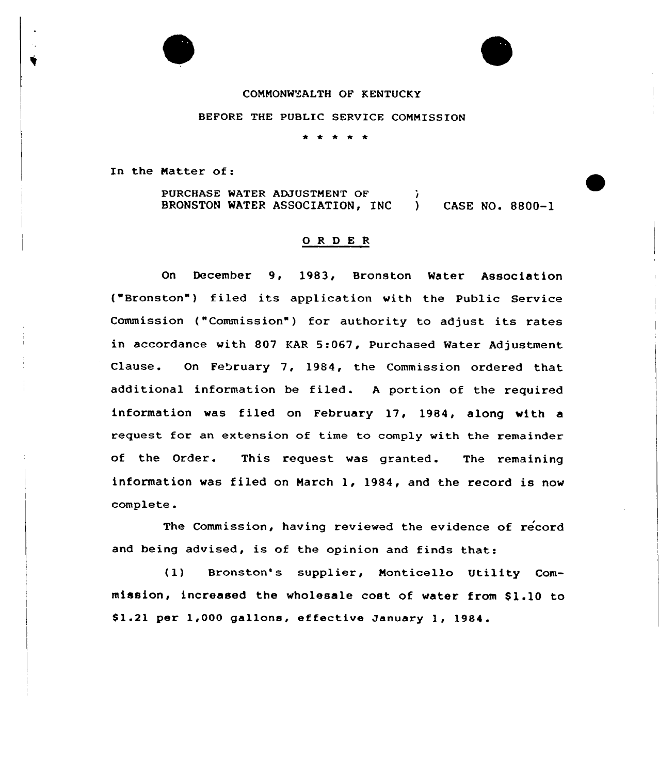### COMMONWEALTH OF KENTUCKY

#### BEFORE THE PUBLIC SERVICE COMMISSION

In the Matter of:

PURCHASE WATER ADJUSTMENT OF BRONSTON WATER ASSOCIATION, INC ) CASE NO. 8800-1

#### 0 R <sup>D</sup> E R

On December 9, 1983, Bronston Water Association ("Bronston") filed its application with the Public Service Commission ("Commission") for authority to adjust its rates in accordance with 807 KAR 5:067, Purchased Water Adjustment Clause. On February 7, 1984, the Commission ordered that additional information be filed. A portion of the required information was filed on February 17, 1984, along with a request for an extension of time to comply with the remainder of the Order. This request was granted. The remaining information was filed on March 1, 1984, and the record is now complete.

The Commission, having reviewed the evidence of record and being advised, is of the opinion and finds that:

(1) Bronston's supplier, Monticello Utility Commission, increased the wholesale cost of water from \$1.10 to \$ 1.21 per 1,000 gallons, effective January 1, 1984.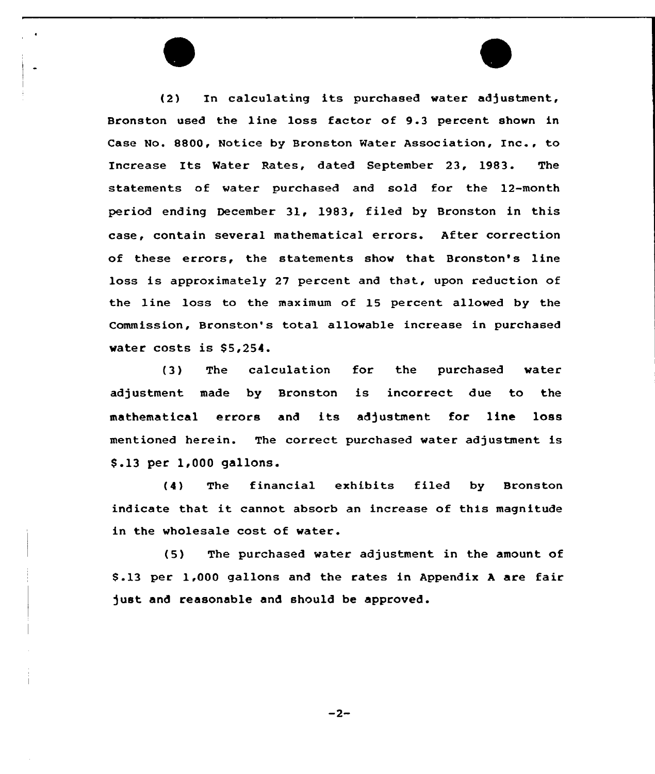(2) In calculating its purchased water adjustment, Bronston used the line loss factor of 9.3 percent shown in Case No. 8800, Notice by Bronston Water Association, Inc., to Increase Its Water Rates, dated September 23, 1983. The statements of water purchased and sold for the 12-month period ending December 31, 1983, filed by Bronston in this case, contain several mathematical errors. After correction of these errors, the statements show that Bronston's line loss is approximately 27 percent and that, upon reduction of the line loss to the maximum of 15 percent allowed by the Commission, Bronston's total allowable increase in purchased water costs is \$5,254.

(3) The calculation for the purchased water adjustment made by Bronston is incorrect due to the mathematical errors and its adjustment for line loss mentioned herein. The correct purchased water adjustment is \$ .13 per 1,000 gallons.

(4) The financial exhibits filed by Bronston indicate that it cannot absorb an increase of this magnitude in the wholesale cost of water.

(5) The purchased water adjustment in the amount of \$ .13 per 1,000 gallons and the rates in Appendix <sup>A</sup> are fair just and reasonable and should be approved.

 $-2-$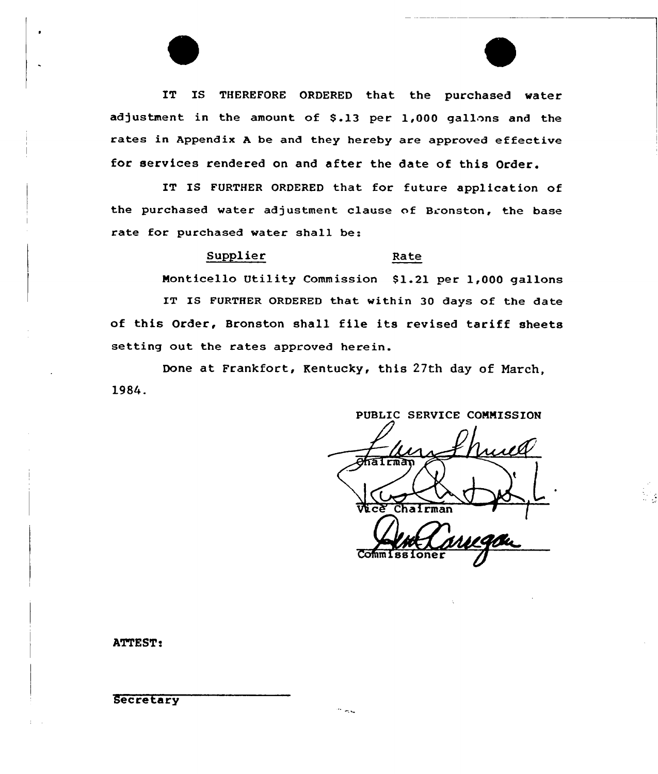IT IS THEREFORE ORDERED that the purchased water adjustment in the amount of 5.13 per 1,000 gallons and the rates in Appendix <sup>A</sup> be and they hereby are approved effective for services rendered on and after the date of this Order.

IT IS FURTHER ORDERED that for future application of the purchased water adjustment clause of Bronston, the base rate for purchased water shall be:

### Supplier Rate

Monticello Utility Commission \$1.21 per 1,000 gallons IT IS FURTHER ORDERED that within 30 days of the date of this Order, Bronston shall file its revised tariff sheets setting out the rates approved herein.

Done at Frankfort, Kentucky, this 27th day of Narch, 1984.

PUBLIC SERVICE COMMISSION **TATITINA** Vice Chairma

ATTEST:

Secretary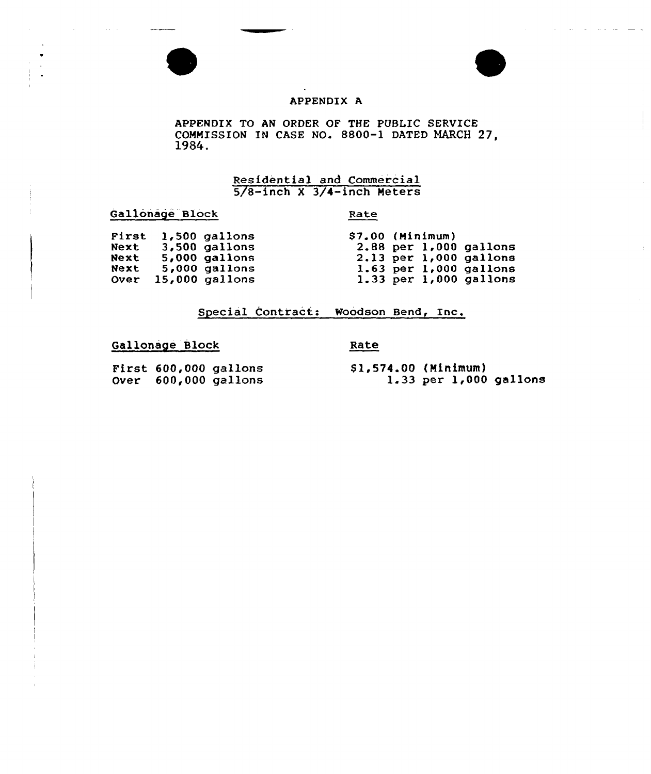



#### APPENDIX A

APPENDIX TO AN ORDER OF THE PUBLIC SERVICE COMMISSION IN CASE NO. 8800-1 DATED MARCH 27, 1984.

# Residential and Commercial 5/8-inch <sup>X</sup> 3/4-inch Meters

Gallonage Block

#### Rate

| First 1,500 gallons<br>$$7.00$ (Minimum)<br>$3,500$ gallons<br>$2.88$ per $1,000$ gallons<br>Next<br>$2.13$ per 1,000 gallons<br>$5,000$ gallons<br>Next<br>$5,000$ gallons<br>Next<br>$1.63$ per $1,000$ gallons<br>$1.33$ per $1,000$ gallons<br>$15,000$ gallons<br><b>Over</b> |  |  |  |  |
|------------------------------------------------------------------------------------------------------------------------------------------------------------------------------------------------------------------------------------------------------------------------------------|--|--|--|--|
|                                                                                                                                                                                                                                                                                    |  |  |  |  |
|                                                                                                                                                                                                                                                                                    |  |  |  |  |
|                                                                                                                                                                                                                                                                                    |  |  |  |  |
|                                                                                                                                                                                                                                                                                    |  |  |  |  |
|                                                                                                                                                                                                                                                                                    |  |  |  |  |

## Special Contract: Woodson Bend, Inc,

# Gallonage Block

Rate

 $First 600,000 gallon$  $over = 600,000$  gallon

\$1,574.00 (Minimum)<br>1.33 per 1,000 gallons